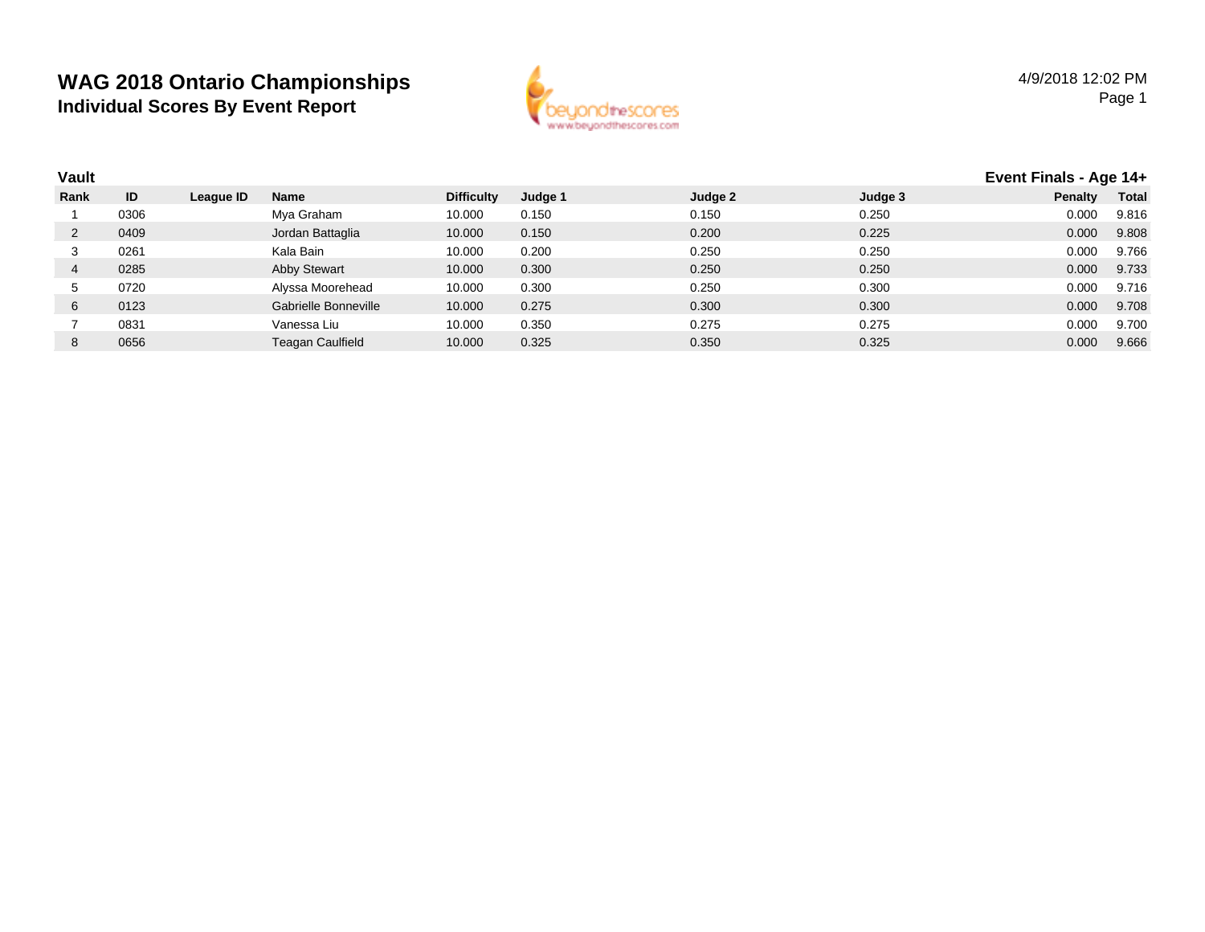

| <b>Vault</b> |      |           |                      |                   |         |         |         | Event Finals - Age 14+ |              |
|--------------|------|-----------|----------------------|-------------------|---------|---------|---------|------------------------|--------------|
| Rank         | ID   | League ID | Name                 | <b>Difficulty</b> | Judge 1 | Judge 2 | Judge 3 | Penalty                | <b>Total</b> |
|              | 0306 |           | Mya Graham           | 10.000            | 0.150   | 0.150   | 0.250   | 0.000                  | 9.816        |
| 2            | 0409 |           | Jordan Battaglia     | 10.000            | 0.150   | 0.200   | 0.225   | 0.000                  | 9.808        |
| 3            | 0261 |           | Kala Bain            | 10.000            | 0.200   | 0.250   | 0.250   | 0.000                  | 9.766        |
| 4            | 0285 |           | Abby Stewart         | 10.000            | 0.300   | 0.250   | 0.250   | 0.000                  | 9.733        |
| G.           | 0720 |           | Alyssa Moorehead     | 10.000            | 0.300   | 0.250   | 0.300   | 0.000                  | 9.716        |
| 6            | 0123 |           | Gabrielle Bonneville | 10.000            | 0.275   | 0.300   | 0.300   | 0.000                  | 9.708        |
|              | 0831 |           | Vanessa Liu          | 10.000            | 0.350   | 0.275   | 0.275   | 0.000                  | 9.700        |
| 8            | 0656 |           | Teagan Caulfield     | 10.000            | 0.325   | 0.350   | 0.325   | 0.000                  | 9.666        |
|              |      |           |                      |                   |         |         |         |                        |              |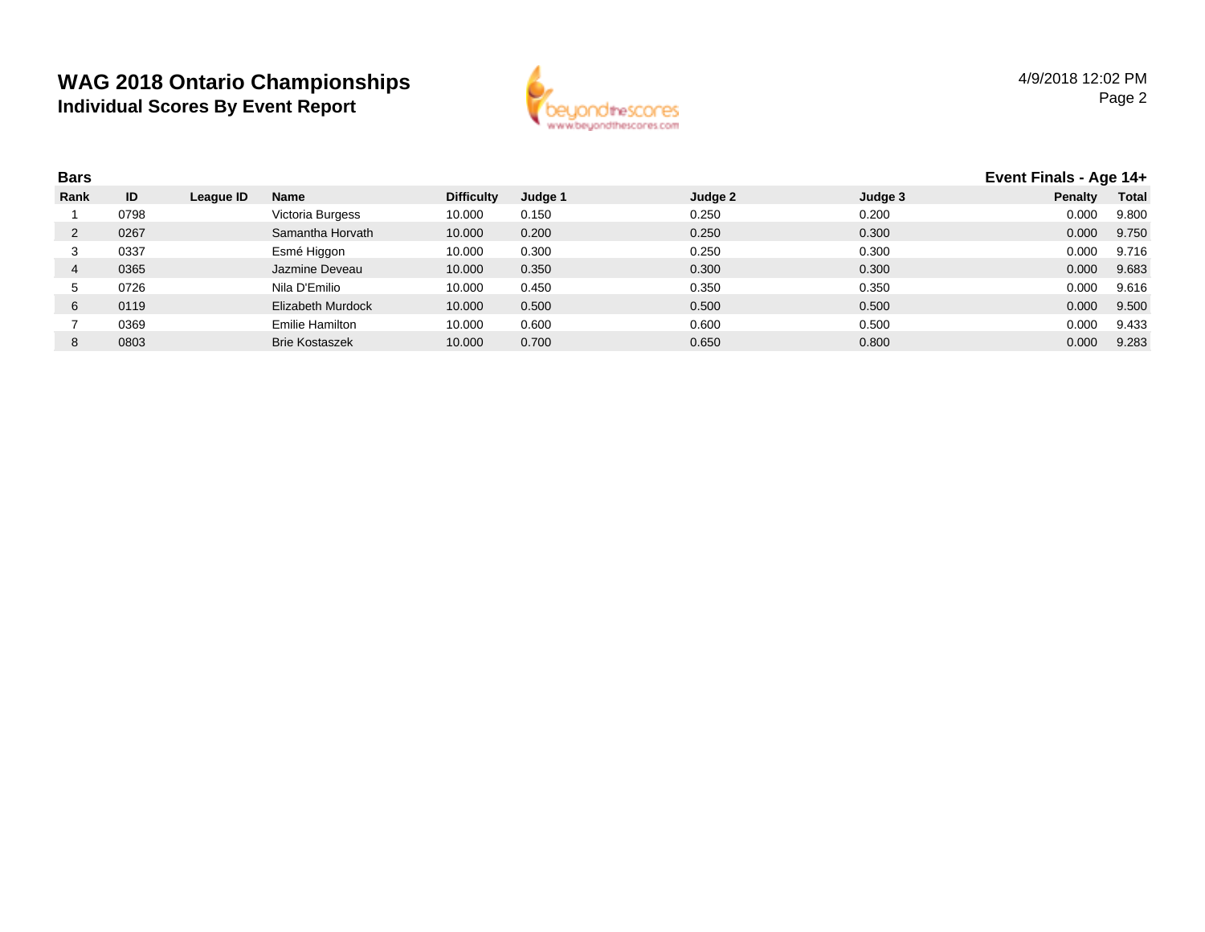

| <b>Bars</b> |      |           |                       |                   |         |         |         | Event Finals - Age 14+ |              |
|-------------|------|-----------|-----------------------|-------------------|---------|---------|---------|------------------------|--------------|
| Rank        | ID   | League ID | <b>Name</b>           | <b>Difficulty</b> | Judge 1 | Judge 2 | Judge 3 | <b>Penalty</b>         | <b>Total</b> |
|             | 0798 |           | Victoria Burgess      | 10.000            | 0.150   | 0.250   | 0.200   | 0.000                  | 9.800        |
|             | 0267 |           | Samantha Horvath      | 10.000            | 0.200   | 0.250   | 0.300   | 0.000                  | 9.750        |
| 3           | 0337 |           | Esmé Higgon           | 10.000            | 0.300   | 0.250   | 0.300   | 0.000                  | 9.716        |
| 4           | 0365 |           | Jazmine Deveau        | 10.000            | 0.350   | 0.300   | 0.300   | 0.000                  | 9.683        |
| G.          | 0726 |           | Nila D'Emilio         | 10.000            | 0.450   | 0.350   | 0.350   | 0.000                  | 9.616        |
| 6           | 0119 |           | Elizabeth Murdock     | 10.000            | 0.500   | 0.500   | 0.500   | 0.000                  | 9.500        |
|             | 0369 |           | Emilie Hamilton       | 10.000            | 0.600   | 0.600   | 0.500   | 0.000                  | 9.433        |
| 8           | 0803 |           | <b>Brie Kostaszek</b> | 10.000            | 0.700   | 0.650   | 0.800   | 0.000                  | 9.283        |
|             |      |           |                       |                   |         |         |         |                        |              |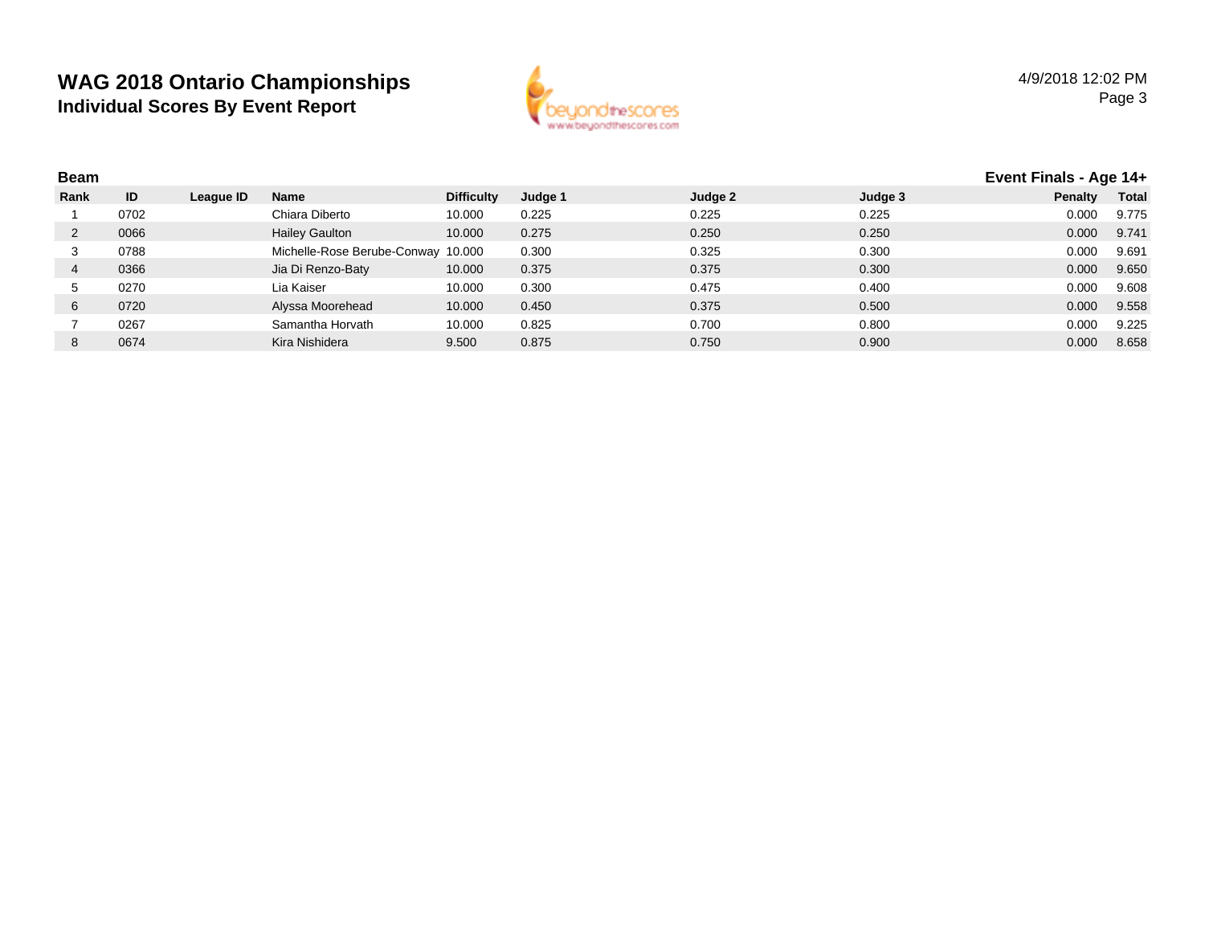

| <b>Beam</b> |      |           |                                    |                   |         |         |         | Event Finals - Age 14+ |              |
|-------------|------|-----------|------------------------------------|-------------------|---------|---------|---------|------------------------|--------------|
| Rank        | ID   | League ID | <b>Name</b>                        | <b>Difficulty</b> | Judge 1 | Judge 2 | Judge 3 | Penalty                | <b>Total</b> |
|             | 0702 |           | Chiara Diberto                     | 10.000            | 0.225   | 0.225   | 0.225   | 0.000                  | 9.775        |
|             | 0066 |           | <b>Hailey Gaulton</b>              | 10.000            | 0.275   | 0.250   | 0.250   | 0.000                  | 9.741        |
|             | 0788 |           | Michelle-Rose Berube-Conway 10.000 |                   | 0.300   | 0.325   | 0.300   | 0.000                  | 9.691        |
|             | 0366 |           | Jia Di Renzo-Baty                  | 10.000            | 0.375   | 0.375   | 0.300   | 0.000                  | 9.650        |
|             | 0270 |           | Lia Kaiser                         | 10.000            | 0.300   | 0.475   | 0.400   | 0.000                  | 9.608        |
| 6           | 0720 |           | Alyssa Moorehead                   | 10.000            | 0.450   | 0.375   | 0.500   | 0.000                  | 9.558        |
|             | 0267 |           | Samantha Horvath                   | 10.000            | 0.825   | 0.700   | 0.800   | 0.000                  | 9.225        |
| 8           | 0674 |           | Kira Nishidera                     | 9.500             | 0.875   | 0.750   | 0.900   | 0.000                  | 8.658        |
|             |      |           |                                    |                   |         |         |         |                        |              |